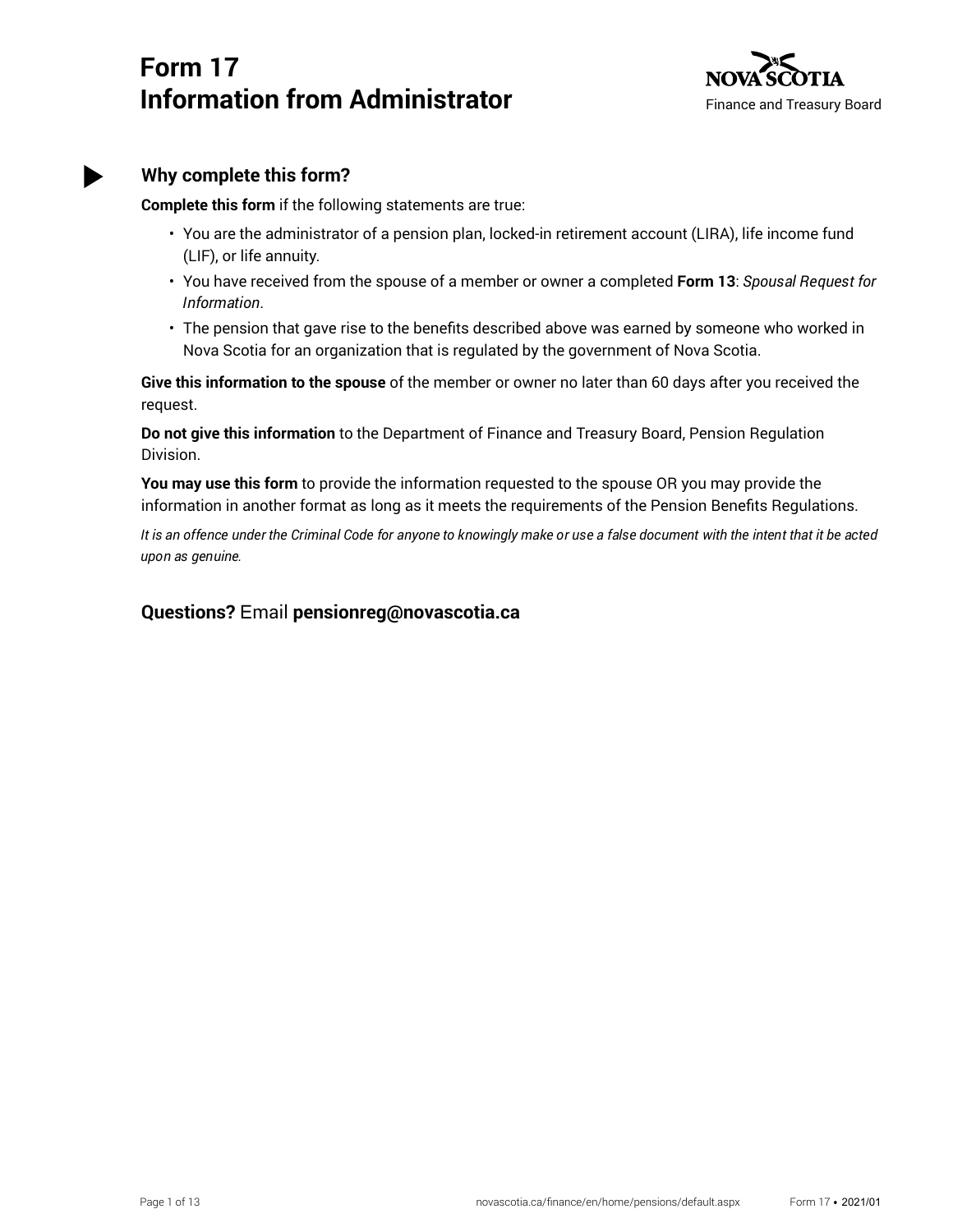# **Form 17 Information from Administrator**



### **Why complete this form?**

**Complete this form** if the following statements are true:

- You are the administrator of a pension plan, locked-in retirement account (LIRA), life income fund (LIF), or life annuity.
- You have received from the spouse of a member or owner a completed **Form 13**: *Spousal Request for Information*.
- The pension that gave rise to the benefits described above was earned by someone who worked in Nova Scotia for an organization that is regulated by the government of Nova Scotia.

**Give this information to the spouse** of the member or owner no later than 60 days after you received the request.

**Do not give this information** to the Department of Finance and Treasury Board, Pension Regulation Division.

**You may use this form** to provide the information requested to the spouse OR you may provide the information in another format as long as it meets the requirements of the Pension Benefits Regulations.

*It is an offence under the Criminal Code for anyone to knowingly make or use a false document with the intent that it be acted upon as genuine.*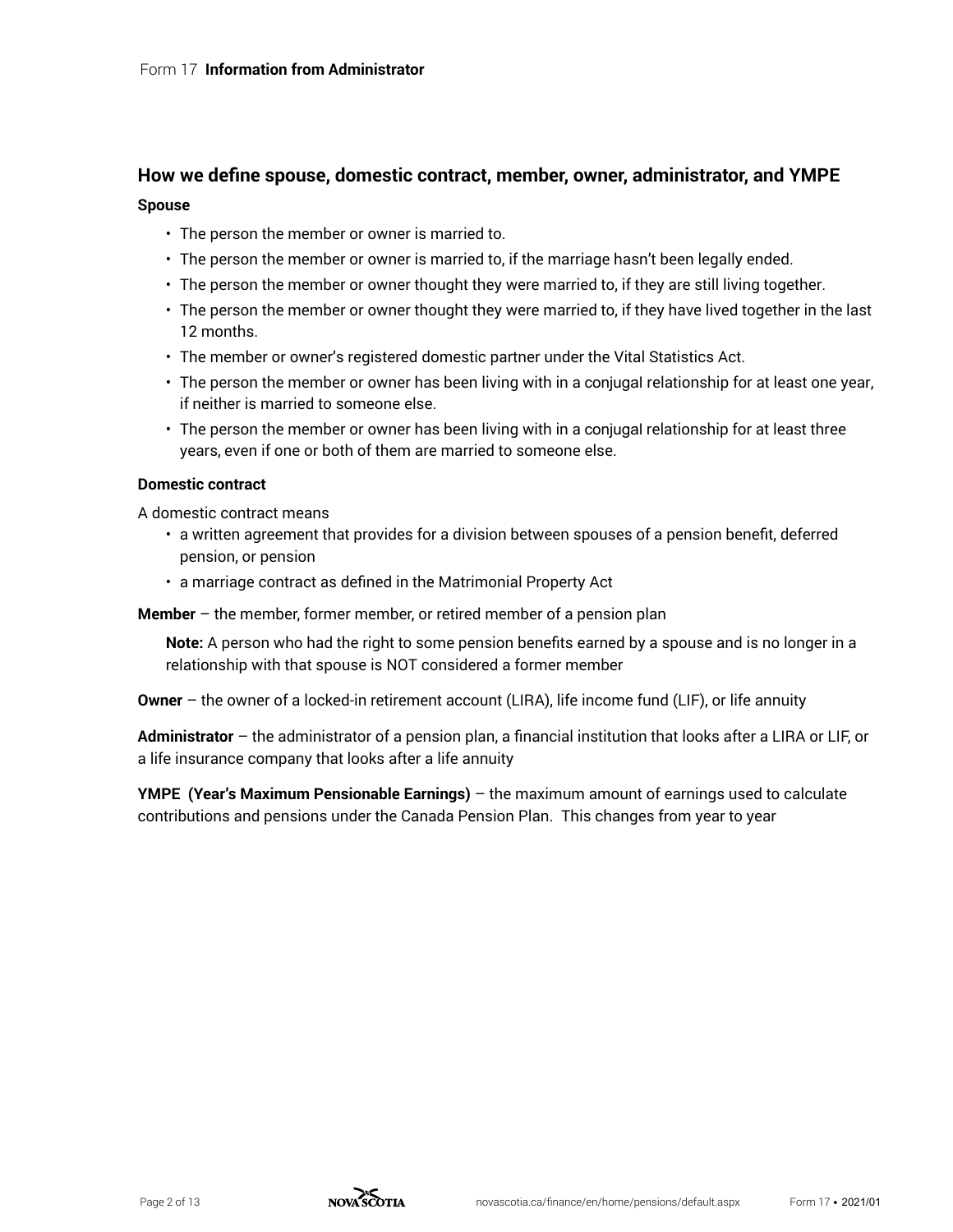#### **How we define spouse, domestic contract, member, owner, administrator, and YMPE**

#### **Spouse**

- The person the member or owner is married to.
- The person the member or owner is married to, if the marriage hasn't been legally ended.
- The person the member or owner thought they were married to, if they are still living together.
- The person the member or owner thought they were married to, if they have lived together in the last 12 months.
- The member or owner's registered domestic partner under the Vital Statistics Act.
- The person the member or owner has been living with in a conjugal relationship for at least one year, if neither is married to someone else.
- The person the member or owner has been living with in a conjugal relationship for at least three years, even if one or both of them are married to someone else.

#### **Domestic contract**

A domestic contract means

- a written agreement that provides for a division between spouses of a pension benefit, deferred pension, or pension
- a marriage contract as defined in the Matrimonial Property Act

**Member** – the member, former member, or retired member of a pension plan

**Note:** A person who had the right to some pension benefits earned by a spouse and is no longer in a relationship with that spouse is NOT considered a former member

**Owner** – the owner of a locked-in retirement account (LIRA), life income fund (LIF), or life annuity

**Administrator** – the administrator of a pension plan, a financial institution that looks after a LIRA or LIF, or a life insurance company that looks after a life annuity

**YMPE (Year's Maximum Pensionable Earnings)** – the maximum amount of earnings used to calculate contributions and pensions under the Canada Pension Plan. This changes from year to year

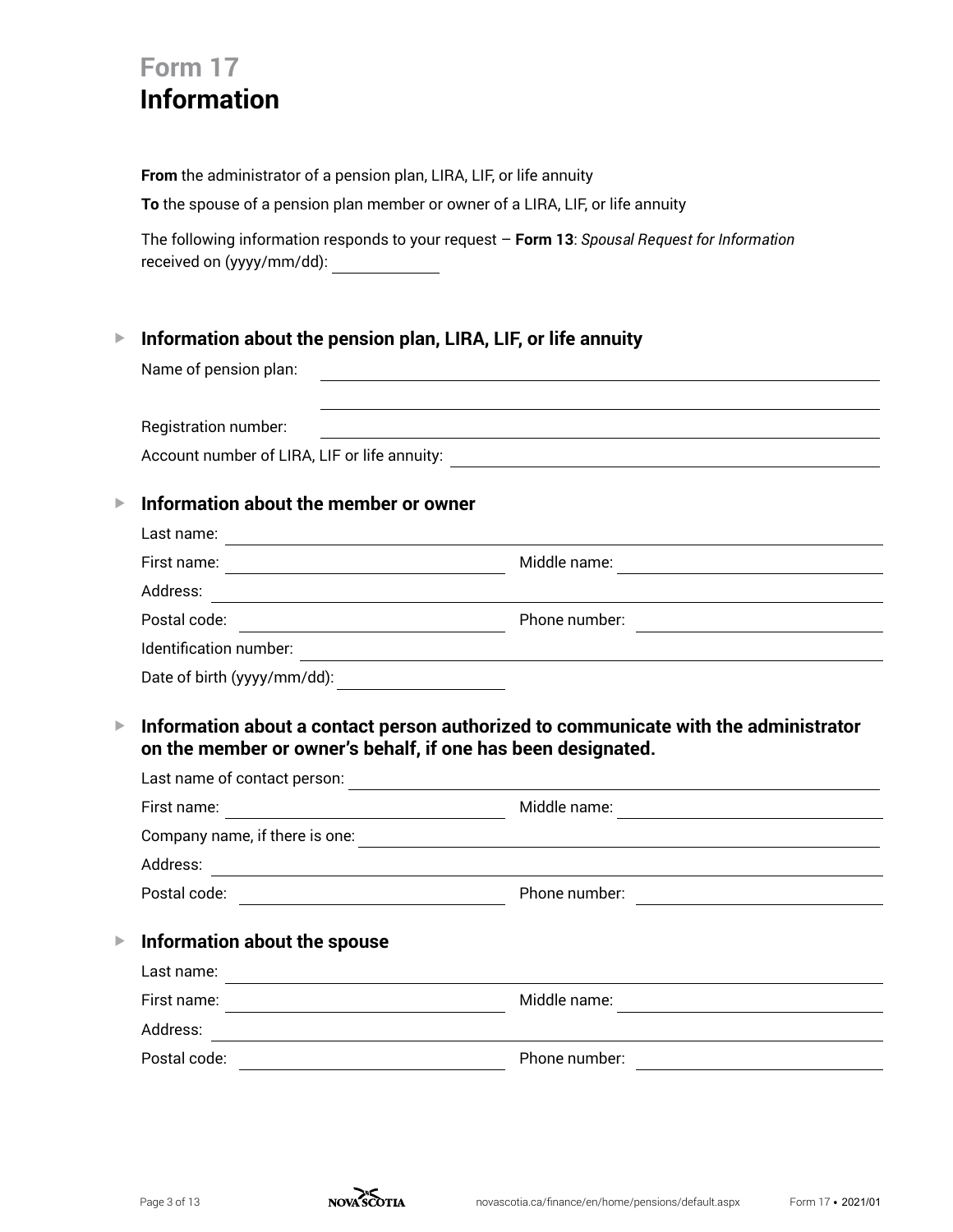# **Form 17 Information**

**From** the administrator of a pension plan, LIRA, LIF, or life annuity

**To** the spouse of a pension plan member or owner of a LIRA, LIF, or life annuity

The following information responds to your request – **Form 13**: *Spousal Request for Information* received on (yyyy/mm/dd):

## G **Information about the pension plan, LIRA, LIF, or life annuity**

Name of pension plan:

|                       | Registration number:                                                                                                                                 |                                                                                     |
|-----------------------|------------------------------------------------------------------------------------------------------------------------------------------------------|-------------------------------------------------------------------------------------|
|                       | Account number of LIRA, LIF or life annuity:                                                                                                         | <u> 1989 - John Stein, Amerikaansk politiker (* 1908)</u>                           |
| $\blacktriangleright$ | Information about the member or owner                                                                                                                |                                                                                     |
|                       | Last name:                                                                                                                                           |                                                                                     |
|                       | First name:<br><u> 1989 - Johann Barn, mars ann an t-Amhainn an t-Amhainn an t-Amhainn an t-Amhainn an t-Amhainn an t-Amhainn an</u>                 | Middle name:                                                                        |
|                       | Address:<br><u> 1989 - Andrea Andrew Maria (h. 1989).</u>                                                                                            |                                                                                     |
|                       | Postal code:<br><u> 1990 - Johann Barbara, martin d</u>                                                                                              | Phone number:                                                                       |
|                       | Identification number:                                                                                                                               |                                                                                     |
|                       | Date of birth (yyyy/mm/dd):<br><u> 1980 - Jan Barbara Barbara, política establecente de la propia de la propia de la propia de la propia de la p</u> |                                                                                     |
| $\blacktriangleright$ | on the member or owner's behalf, if one has been designated.                                                                                         | Information about a contact person authorized to communicate with the administrator |
|                       | Last name of contact person:                                                                                                                         |                                                                                     |
|                       | First name:                                                                                                                                          | Middle name:                                                                        |

|                       | First name:                                | Middle name:  |
|-----------------------|--------------------------------------------|---------------|
|                       | Company name, if there is one:             |               |
|                       | Address:                                   |               |
|                       | Postal code:                               | Phone number: |
| $\blacktriangleright$ | Information about the spouse<br>Last name: |               |
|                       | First name:<br>Address:                    | Middle name:  |
|                       | Postal code:                               | Phone number: |

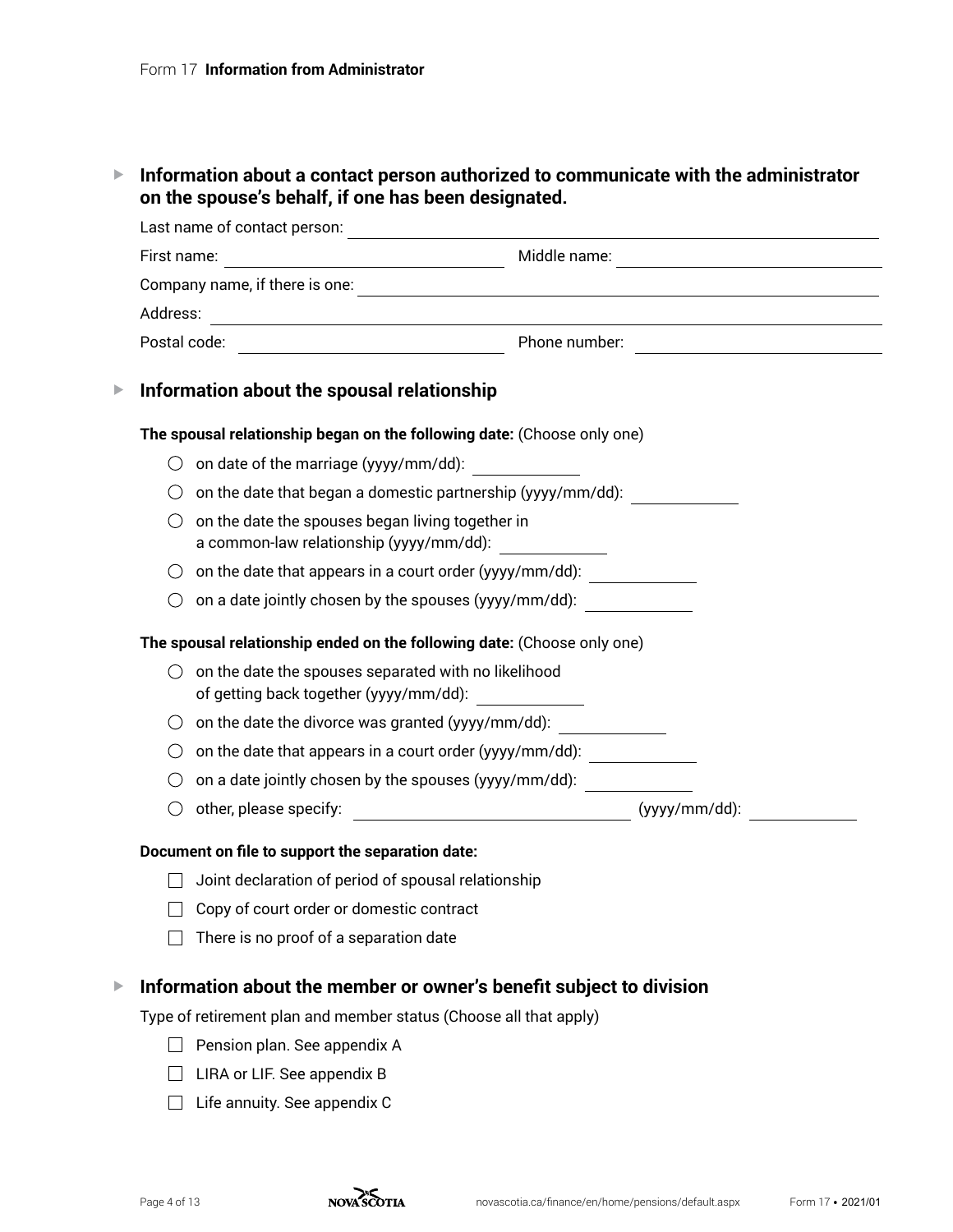## G **Information about a contact person authorized to communicate with the administrator on the spouse's behalf, if one has been designated.**

|   | Last name of contact person:                                                                       | <u> 1989 - Johann Harry Barn, mars ar breist fan de Fryske kommunent (</u> |
|---|----------------------------------------------------------------------------------------------------|----------------------------------------------------------------------------|
|   | First name:                                                                                        | Middle name:<br><u> 1989 - Johann Barbara, martxa alemaniar a</u>          |
|   |                                                                                                    |                                                                            |
|   | Address:<br><u> 1980 - Johann Barn, mars an t-Amerikaansk politiker (</u>                          |                                                                            |
|   |                                                                                                    |                                                                            |
| ▶ | Information about the spousal relationship                                                         |                                                                            |
|   | The spousal relationship began on the following date: (Choose only one)                            |                                                                            |
|   | on date of the marriage (yyyy/mm/dd):                                                              |                                                                            |
|   |                                                                                                    | on the date that began a domestic partnership (yyyy/mm/dd):                |
|   | on the date the spouses began living together in<br>( )<br>a common-law relationship (yyyy/mm/dd): |                                                                            |
|   | on the date that appears in a court order (yyyy/mm/dd):                                            |                                                                            |
|   | on a date jointly chosen by the spouses (yyyy/mm/dd):                                              |                                                                            |
|   | The spousal relationship ended on the following date: (Choose only one)                            |                                                                            |
|   | on the date the spouses separated with no likelihood<br>of getting back together (yyyy/mm/dd):     |                                                                            |
|   | on the date the divorce was granted (yyyy/mm/dd):                                                  |                                                                            |
|   | on the date that appears in a court order (yyyy/mm/dd): ________________________                   |                                                                            |
|   | on a date jointly chosen by the spouses (yyyy/mm/dd):                                              |                                                                            |
|   | ( )                                                                                                |                                                                            |
|   | Document on file to support the separation date:                                                   |                                                                            |
|   | Joint declaration of period of spousal relationship                                                |                                                                            |
|   | Copy of court order or domestic contract                                                           |                                                                            |
|   | There is no proof of a separation date                                                             |                                                                            |
| ▶ | Information about the member or owner's benefit subject to division                                |                                                                            |
|   | Type of retirement plan and member status (Choose all that apply)                                  |                                                                            |
|   | Pension plan. See appendix A                                                                       |                                                                            |

- □ LIRA or LIF. See appendix B
- $\Box$  Life annuity. See appendix C

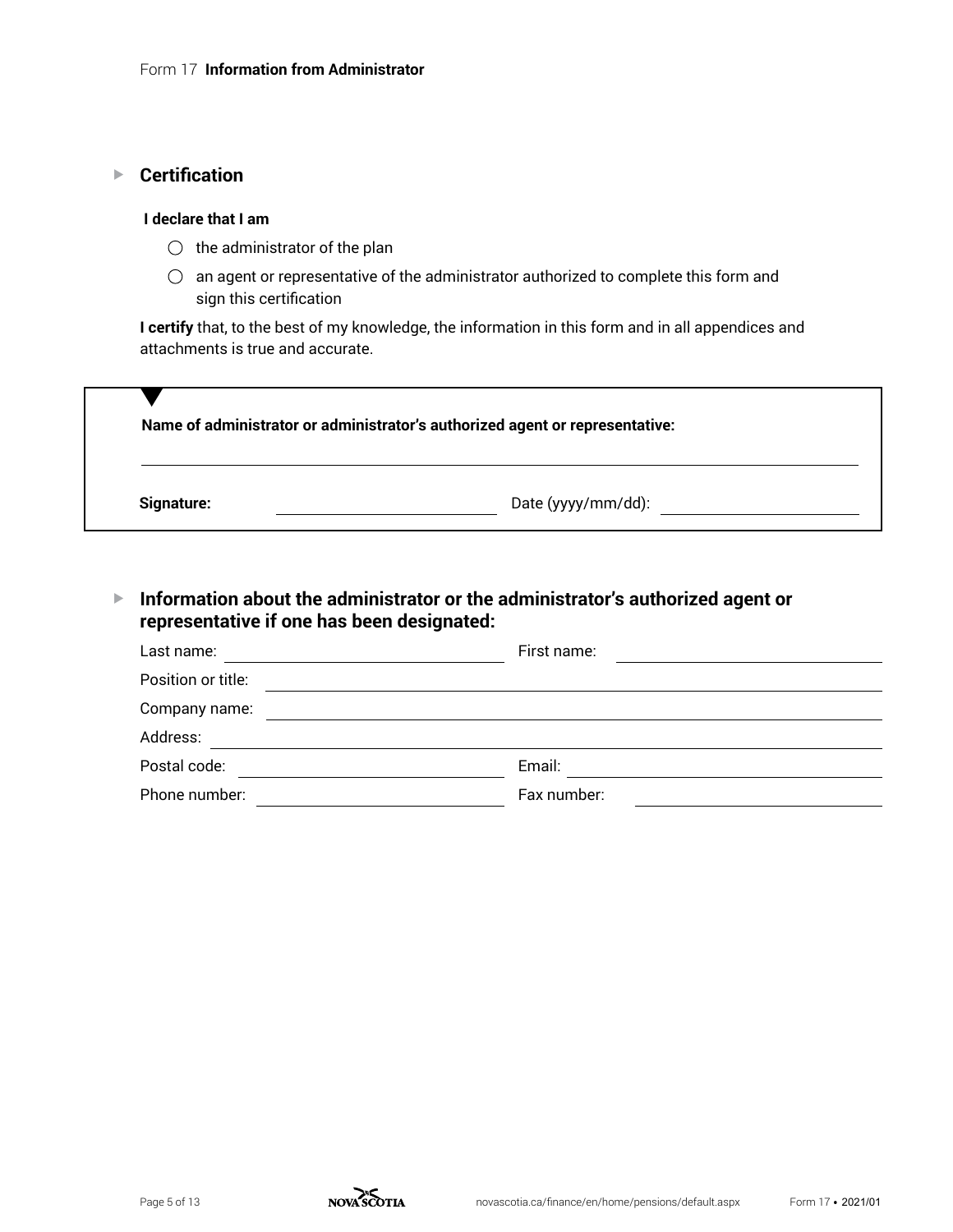## ▶ **Certification**

#### **I declare that I am**

- $\bigcirc$  the administrator of the plan
- $\bigcirc$  an agent or representative of the administrator authorized to complete this form and sign this certification

**I certify** that, to the best of my knowledge, the information in this form and in all appendices and attachments is true and accurate.

|            | Name of administrator or administrator's authorized agent or representative: |
|------------|------------------------------------------------------------------------------|
| Signature: | Date (yyyy/mm/dd):                                                           |

G **Information about the administrator or the administrator's authorized agent or representative if one has been designated:**

| Last name:         | First name: |
|--------------------|-------------|
| Position or title: |             |
| Company name:      |             |
| Address:           |             |
| Postal code:       | Email:      |
| Phone number:      | Fax number: |

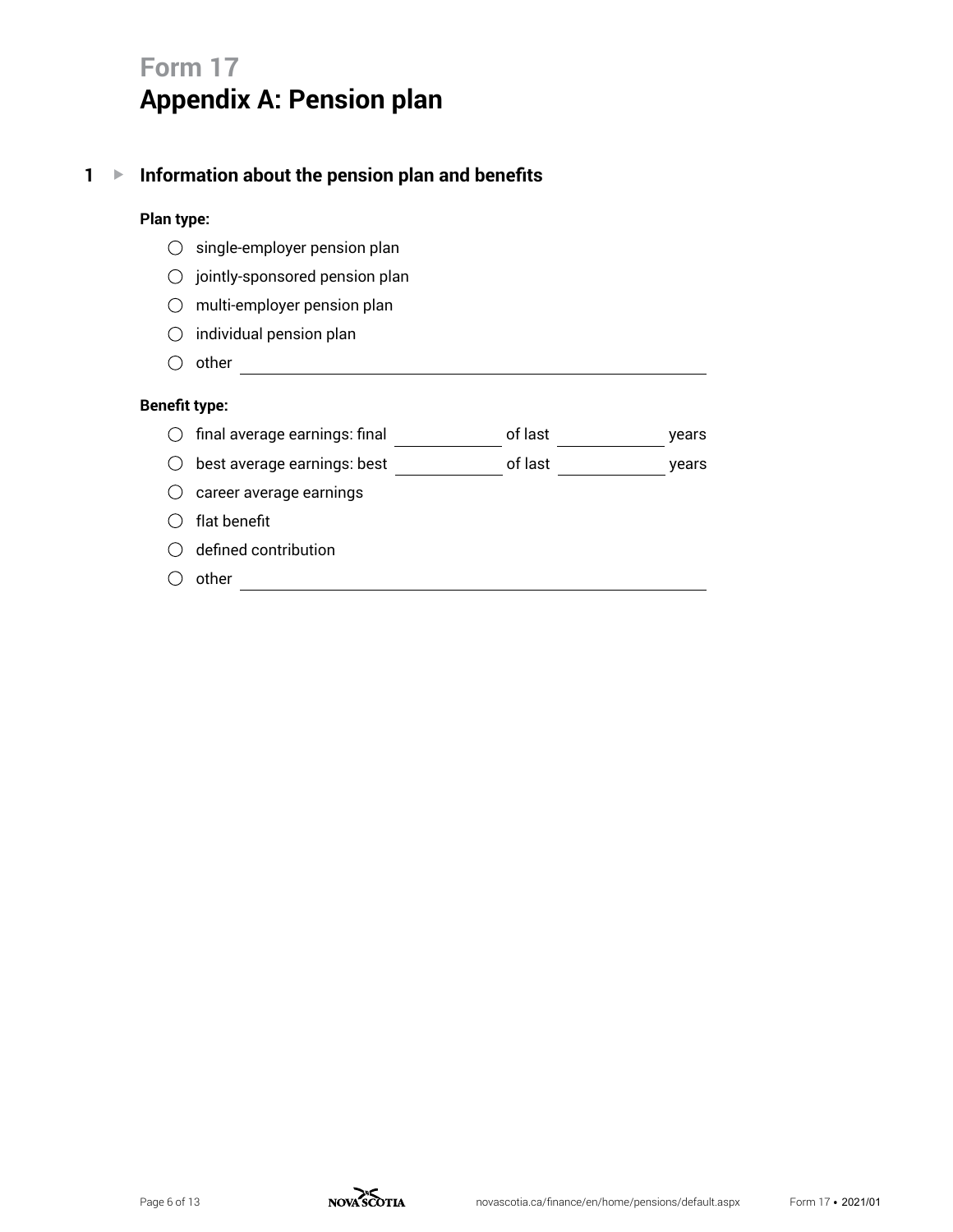# **Form 17 Appendix A: Pension plan**

## **1** G **Information about the pension plan and benefits**

#### **Plan type:**

- $\bigcirc$  single-employer pension plan
- $\bigcirc$  jointly-sponsored pension plan
- $\bigcirc$  multi-employer pension plan
- $\bigcirc$  individual pension plan
- $\bigcirc$  other  $\qquad \qquad$

#### **Benefit type:**

- $\circlearrowright$  final average earnings: final \_\_\_\_\_\_\_\_\_\_\_\_\_\_\_ of last \_\_\_\_\_\_\_\_\_\_\_\_\_\_\_\_ years
- best average earnings: best of last years
- $\bigcirc$  career average earnings
- $\bigcirc$  flat benefit
- $\bigcirc$  defined contribution
- $\bigcirc$  other  $\qquad \qquad$

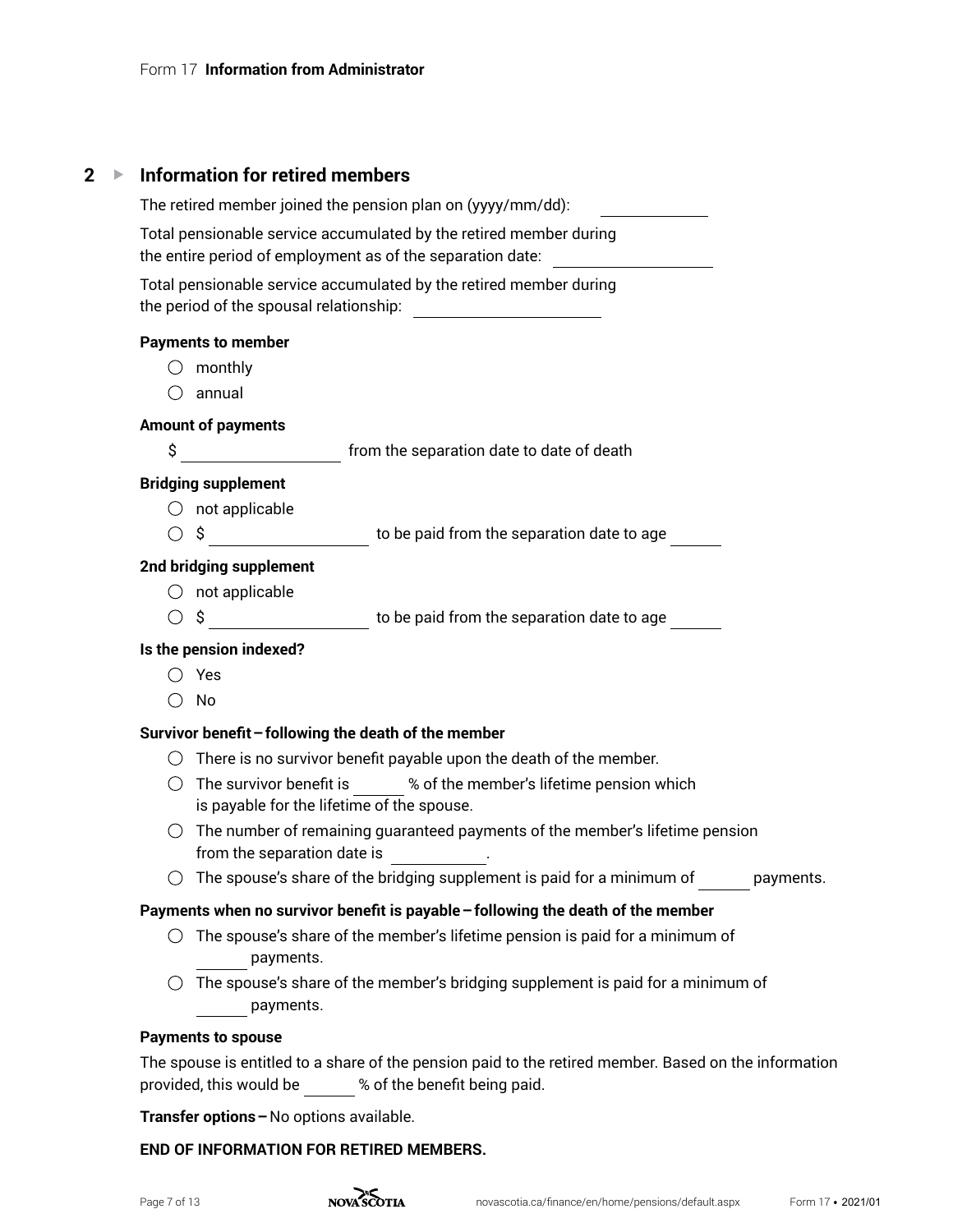## **2** G **Information for retired members**

| The retired member joined the pension plan on (yyyy/mm/dd):                                                                                                                                            |
|--------------------------------------------------------------------------------------------------------------------------------------------------------------------------------------------------------|
| Total pensionable service accumulated by the retired member during<br>the entire period of employment as of the separation date: _____________________                                                 |
| Total pensionable service accumulated by the retired member during                                                                                                                                     |
| <b>Payments to member</b>                                                                                                                                                                              |
| monthly<br>( )                                                                                                                                                                                         |
| annual                                                                                                                                                                                                 |
| <b>Amount of payments</b>                                                                                                                                                                              |
| \$<br>__________________________ from the separation date to date of death                                                                                                                             |
| <b>Bridging supplement</b>                                                                                                                                                                             |
| $\bigcirc$ not applicable                                                                                                                                                                              |
| $\circ$ \$ $\qquad \qquad$ to be paid from the separation date to age $\qquad \qquad$                                                                                                                  |
| 2nd bridging supplement                                                                                                                                                                                |
| $\bigcirc$ not applicable                                                                                                                                                                              |
| $\circledcirc$ \$ $\qquad \qquad$ to be paid from the separation date to age $\qquad \qquad$                                                                                                           |
| Is the pension indexed?                                                                                                                                                                                |
| Yes                                                                                                                                                                                                    |
| No<br>( )                                                                                                                                                                                              |
| Survivor benefit - following the death of the member                                                                                                                                                   |
| $\bigcirc$ There is no survivor benefit payable upon the death of the member.                                                                                                                          |
| $\bigcirc$ The survivor benefit is $\qquad \qquad \text{``}$ of the member's lifetime pension which<br>is payable for the lifetime of the spouse.                                                      |
| The number of remaining guaranteed payments of the member's lifetime pension<br>( )<br>from the separation date is<br>$\mathcal{L}=\mathcal{L}^{\mathcal{L}}$ . The set of $\mathcal{L}^{\mathcal{L}}$ |
| The spouse's share of the bridging supplement is paid for a minimum of<br>payments                                                                                                                     |
| Payments when no survivor benefit is payable - following the death of the member                                                                                                                       |
| The spouse's share of the member's lifetime pension is paid for a minimum of<br>payments.                                                                                                              |
| The spouse's share of the member's bridging supplement is paid for a minimum of<br>( )<br>payments.                                                                                                    |
| <b>Payments to spouse</b>                                                                                                                                                                              |
| The spouse is entitled to a share of the pension paid to the retired member. Based on the information<br>% of the benefit being paid.<br>provided, this would be                                       |

**Transfer options –**No options available.

### **END OF INFORMATION FOR RETIRED MEMBERS.**

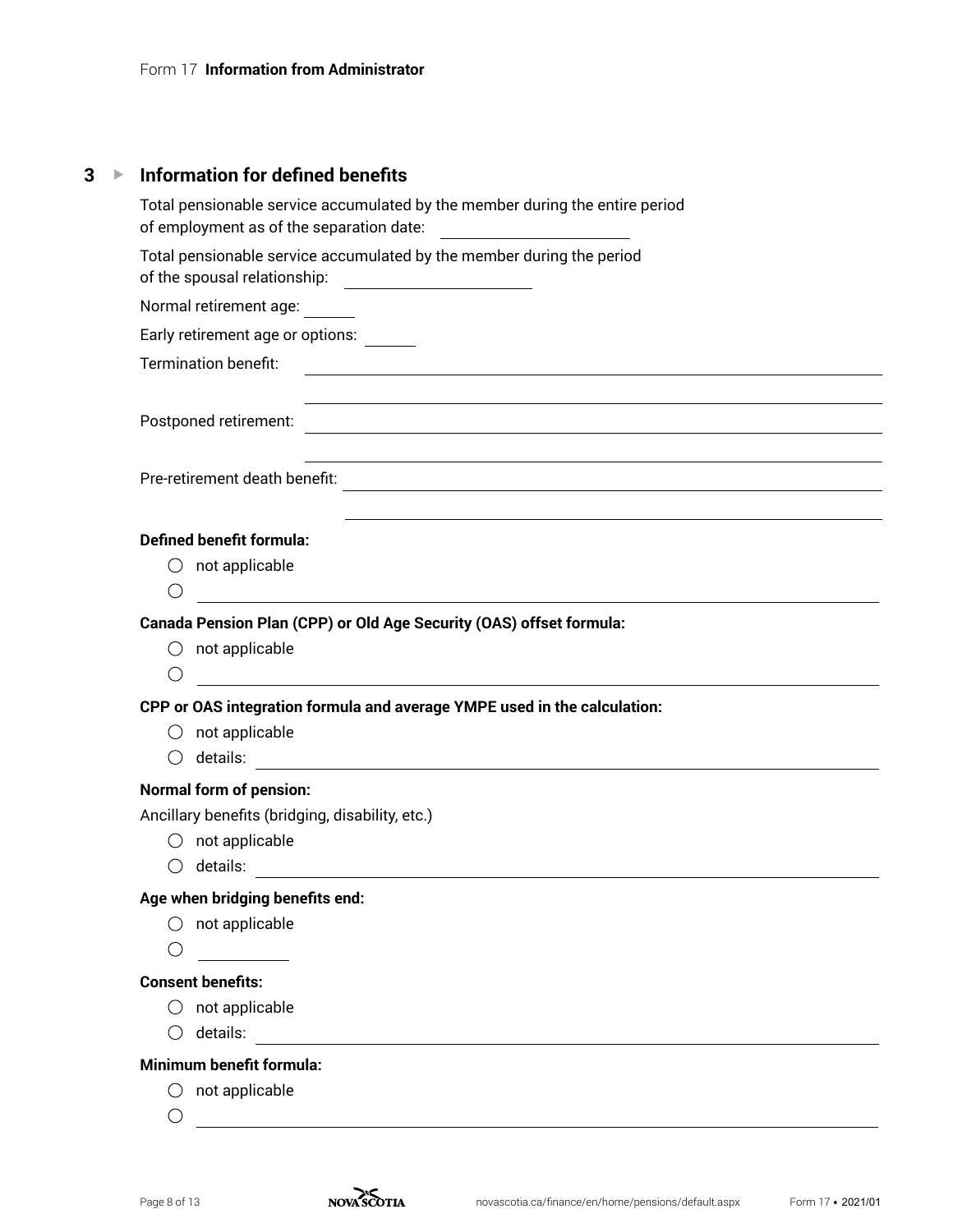| <b>Information for defined benefits</b>                                                                                                                                                          |
|--------------------------------------------------------------------------------------------------------------------------------------------------------------------------------------------------|
| Total pensionable service accumulated by the member during the entire period<br>of employment as of the separation date:                                                                         |
| Total pensionable service accumulated by the member during the period                                                                                                                            |
| Normal retirement age:                                                                                                                                                                           |
| Early retirement age or options:                                                                                                                                                                 |
|                                                                                                                                                                                                  |
| <u> 1989 - Johann Stoff, amerikansk politiker (d. 1989)</u>                                                                                                                                      |
|                                                                                                                                                                                                  |
| and the control of the control of the control of the control of the control of the control of the control of the<br><b>Defined benefit formula:</b>                                              |
| $\bigcirc$ not applicable<br>◯                                                                                                                                                                   |
|                                                                                                                                                                                                  |
| Canada Pension Plan (CPP) or Old Age Security (OAS) offset formula:                                                                                                                              |
| $\bigcirc$ not applicable                                                                                                                                                                        |
| O                                                                                                                                                                                                |
| <u> 1989 - Johann John Stein, markin fan it ferstjer fan it ferstjer fan it ferstjer fan it ferstjer fan it fers</u><br>CPP or OAS integration formula and average YMPE used in the calculation: |
| $\bigcirc$ not applicable                                                                                                                                                                        |
| $\left( \right)$                                                                                                                                                                                 |
| <b>Normal form of pension:</b>                                                                                                                                                                   |
| Ancillary benefits (bridging, disability, etc.)                                                                                                                                                  |
| $\bigcirc$ not applicable                                                                                                                                                                        |
| details:                                                                                                                                                                                         |
| Age when bridging benefits end:                                                                                                                                                                  |
| not applicable                                                                                                                                                                                   |
|                                                                                                                                                                                                  |
| <b>Consent benefits:</b>                                                                                                                                                                         |
| not applicable                                                                                                                                                                                   |
| details:<br><u> 1980 - Jan Stein Berlin, amerikansk politiker (</u>                                                                                                                              |
| Minimum benefit formula:                                                                                                                                                                         |
| not applicable                                                                                                                                                                                   |

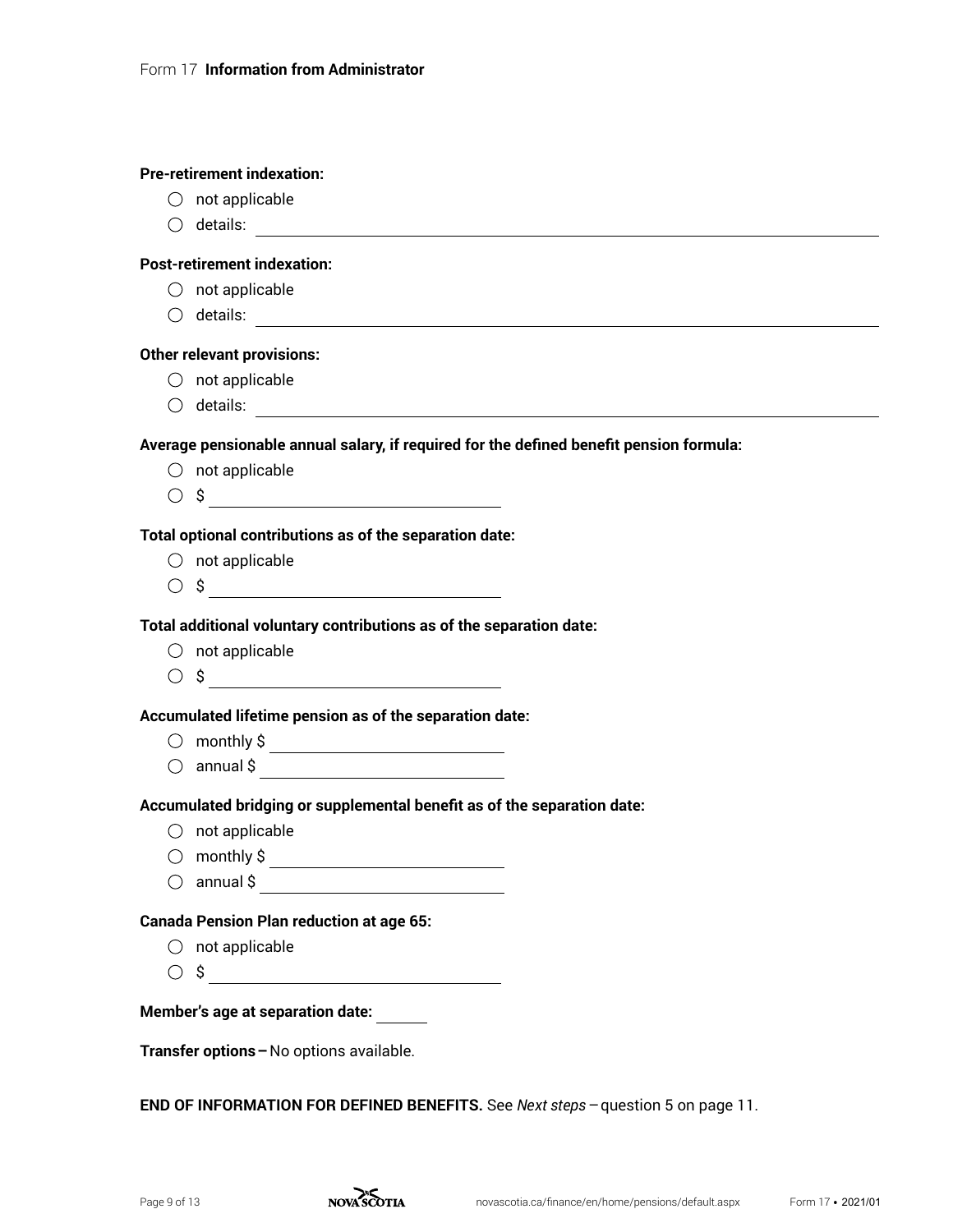|     | <b>Pre-retirement indexation:</b>                                                                                                   |
|-----|-------------------------------------------------------------------------------------------------------------------------------------|
|     | $\bigcirc$ not applicable                                                                                                           |
|     | $\bigcirc$ details:                                                                                                                 |
|     | <b>Post-retirement indexation:</b>                                                                                                  |
|     | $\bigcirc$ not applicable                                                                                                           |
|     |                                                                                                                                     |
|     | <b>Other relevant provisions:</b>                                                                                                   |
|     | $\bigcirc$ not applicable                                                                                                           |
|     |                                                                                                                                     |
|     | Average pensionable annual salary, if required for the defined benefit pension formula:                                             |
|     | $\bigcirc$ not applicable                                                                                                           |
|     | $\circ$ \$                                                                                                                          |
|     | Total optional contributions as of the separation date:                                                                             |
|     | $\bigcirc$ not applicable                                                                                                           |
|     |                                                                                                                                     |
|     | Total additional voluntary contributions as of the separation date:                                                                 |
|     | $\bigcirc$ not applicable                                                                                                           |
|     | $\circ$ \$ $\overline{\qquad \qquad }$                                                                                              |
|     | Accumulated lifetime pension as of the separation date:                                                                             |
|     | $\circledcirc$ monthly \$                                                                                                           |
|     |                                                                                                                                     |
|     | Accumulated bridging or supplemental benefit as of the separation date:                                                             |
|     | $\bigcirc$ not applicable                                                                                                           |
| ( ) | monthly \$<br><u> 1989 - Johann Barn, mars ann an t-Amhain Aonaich an t-Aonaich an t-Aonaich an t-Aonaich an t-Aonaich an t-Aon</u> |
|     |                                                                                                                                     |
|     | <b>Canada Pension Plan reduction at age 65:</b>                                                                                     |
|     | $\bigcirc$ not applicable                                                                                                           |
|     | $\circ$ \$                                                                                                                          |
|     | <b>Member's age at separation date:</b>                                                                                             |
|     |                                                                                                                                     |
|     | Transfer options - No options available.                                                                                            |
|     |                                                                                                                                     |

**END OF INFORMATION FOR DEFINED BENEFITS.** See *Next steps*–question 5 on page 11.

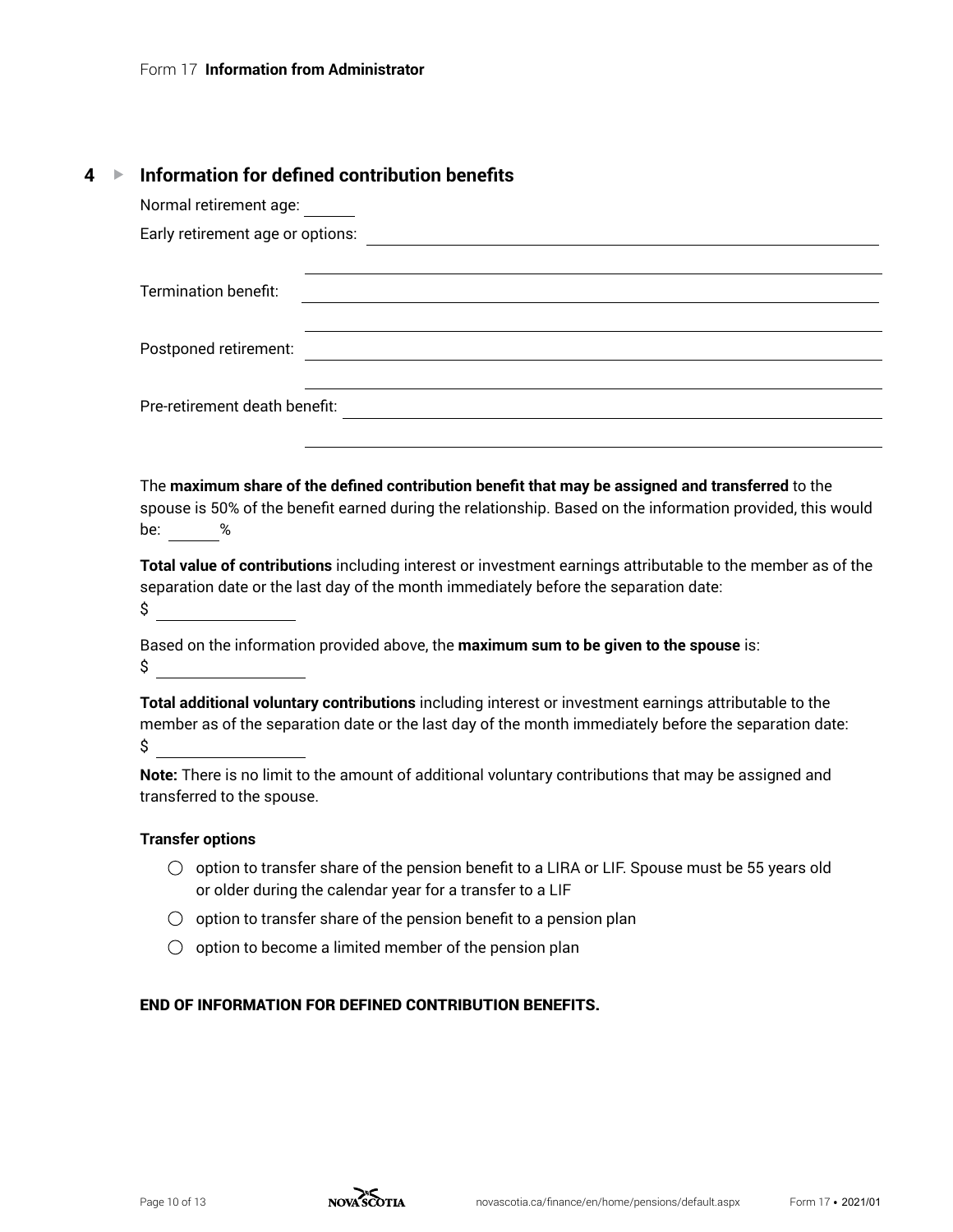# **4** G **Information for defined contribution benefits**

| Normal retirement age:                                                                                                                                                                                                                |
|---------------------------------------------------------------------------------------------------------------------------------------------------------------------------------------------------------------------------------------|
|                                                                                                                                                                                                                                       |
| Termination benefit:<br><u> 1989 - Johann Stoff, deutscher Stoff, der Stoff, der Stoff, der Stoff, der Stoff, der Stoff, der Stoff, der S</u>                                                                                         |
| Postponed retirement:                                                                                                                                                                                                                 |
|                                                                                                                                                                                                                                       |
| The maximum share of the defined contribution benefit that may be assigned and transferred to the<br>spouse is 50% of the benefit earned during the relationship. Based on the information provided, this would<br>be: %              |
| Total value of contributions including interest or investment earnings attributable to the member as of the<br>separation date or the last day of the month immediately before the separation date:<br>$\int$ $\frac{1}{\sqrt{2\pi}}$ |
| Based on the information provided above, the maximum sum to be given to the spouse is:<br>$\circ$                                                                                                                                     |
| Total additional voluntary contributions including interest or investment earnings attributable to the<br>member as of the separation date or the last day of the month immediately before the separation date:<br>\$                 |
| Note: There is no limit to the amount of additional voluntary contributions that may be assigned and<br>transferred to the spouse.                                                                                                    |
| <b>Transfer options</b>                                                                                                                                                                                                               |
| option to transfer share of the pension benefit to a LIRA or LIF. Spouse must be 55 years old<br>( )<br>or older during the calendar year for a transfer to a LIF                                                                     |

- $\bigcirc$  option to transfer share of the pension benefit to a pension plan
- $\bigcirc$  option to become a limited member of the pension plan

#### END OF INFORMATION FOR DEFINED CONTRIBUTION BENEFITS.

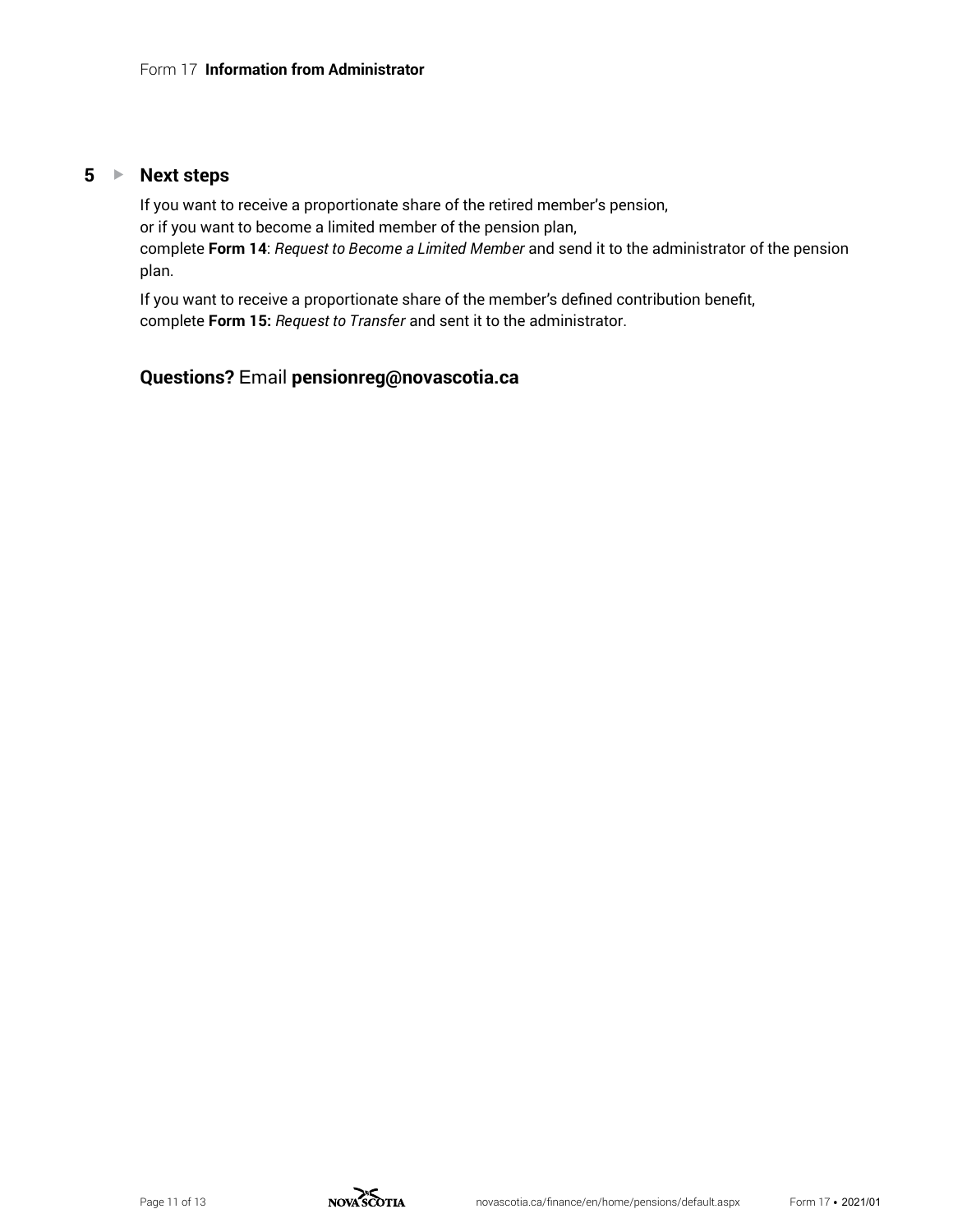#### **5** ► Next steps

If you want to receive a proportionate share of the retired member's pension, or if you want to become a limited member of the pension plan, complete **Form 14**: *Request to Become a Limited Member* and send it to the administrator of the pension plan.

If you want to receive a proportionate share of the member's defined contribution benefit, complete **Form 15:** *Request to Transfer* and sent it to the administrator.

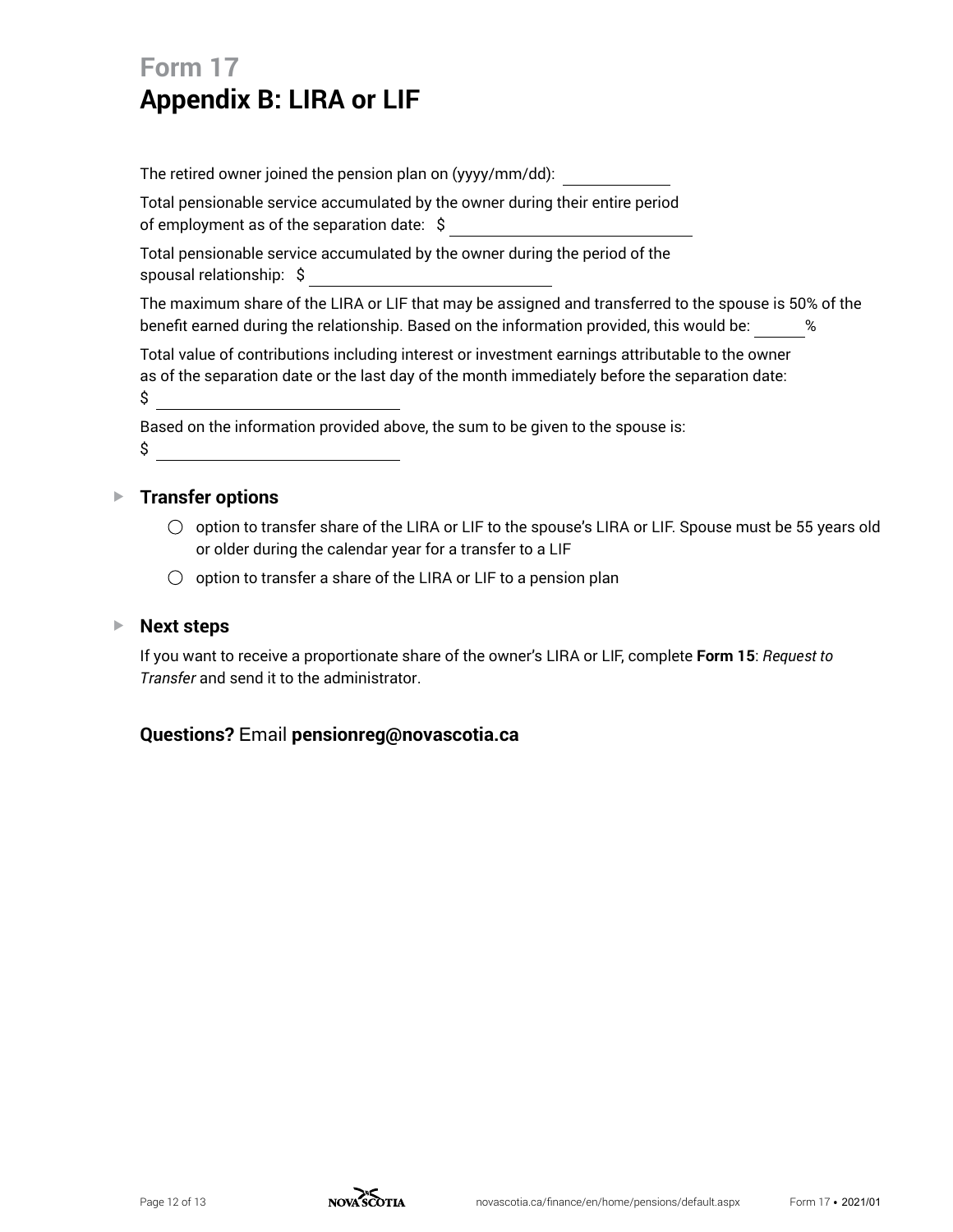# **Form 17 Appendix B: LIRA or LIF**

The retired owner joined the pension plan on (yyyy/mm/dd):

Total pensionable service accumulated by the owner during their entire period of employment as of the separation date:  $\sim$ 

Total pensionable service accumulated by the owner during the period of the spousal relationship: \$

The maximum share of the LIRA or LIF that may be assigned and transferred to the spouse is 50% of the benefit earned during the relationship. Based on the information provided, this would be:  $\frac{1}{8}$ 

Total value of contributions including interest or investment earnings attributable to the owner as of the separation date or the last day of the month immediately before the separation date: \$

Based on the information provided above, the sum to be given to the spouse is:  $\mathsf{\$}$ 

## ▶ Transfer options

- $\circlearrowright$  option to transfer share of the LIRA or LIF to the spouse's LIRA or LIF. Spouse must be 55 years old or older during the calendar year for a transfer to a LIF
- $\bigcirc$  option to transfer a share of the LIRA or LIF to a pension plan

### ▶ **Next** steps

If you want to receive a proportionate share of the owner's LIRA or LIF, complete **Form 15**: *Request to Transfer* and send it to the administrator.